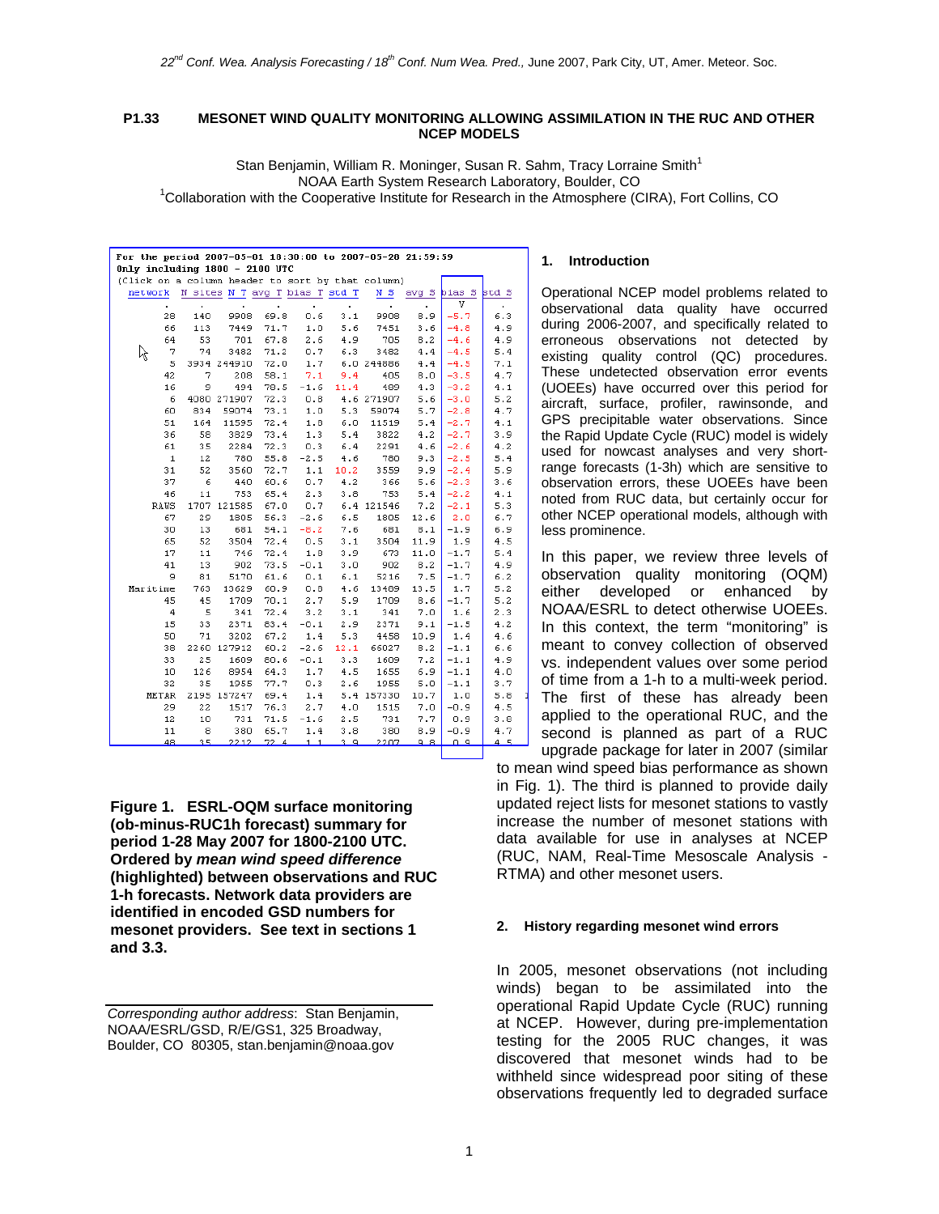## **P1.33 MESONET WIND QUALITY MONITORING ALLOWING ASSIMILATION IN THE RUC AND OTHER NCEP MODELS**

Stan Benjamin, William R. Moninger, Susan R. Sahm, Tracy Lorraine Smith<sup>1</sup> NOAA Earth System Research Laboratory, Boulder, CO 1 <sup>1</sup>Collaboration with the Cooperative Institute for Research in the Atmosphere (CIRA), Fort Collins, CO

| For the period 2007-05-01 18:30:00 to 2007-05-28 21:59:59 |                |             |      |        |                                |            |       |        |       |  |  |  |  |
|-----------------------------------------------------------|----------------|-------------|------|--------|--------------------------------|------------|-------|--------|-------|--|--|--|--|
| Only including 1800 - 2100 UTC                            |                |             |      |        |                                |            |       |        |       |  |  |  |  |
| (Click on a column header to sort by that column)         |                |             |      |        |                                |            |       |        |       |  |  |  |  |
| network                                                   |                |             |      |        | N sites N T avg T bias T std T | N S        | avg S | bias S | std S |  |  |  |  |
| ò.                                                        | $\blacksquare$ | ٠           | ä,   |        | ×.                             | ä,         |       | v      |       |  |  |  |  |
| 28                                                        | 140            | 9908        | 69.8 | 0.6    | 3.1                            | 9908       | 8.9   | $-5.7$ | 6.3   |  |  |  |  |
| 66                                                        | 113            | 7449        | 71.7 | 1.0    | 5.6                            | 7451       | 3.6   | $-4.8$ | 4.9   |  |  |  |  |
| 64                                                        | 53             | 701         | 67.8 | 2.6    | 4.9                            | 705        | 8.2   | $-4.6$ | 4.9   |  |  |  |  |
| 7<br>ん                                                    | 74             | 3482        | 71.2 | 0.7    | 6.3                            | 3482       | 4.4   | $-4.5$ | 5.4   |  |  |  |  |
| 5                                                         |                | 3934 244910 | 72.0 | 1.7    |                                | 6.0 244886 | 4.4   | $-4.5$ | 7.1   |  |  |  |  |
| 42                                                        | 7              | 208         | 58.1 | 7.1    | 9.4                            | 405        | 8.0   | $-3.5$ | 4.7   |  |  |  |  |
| 16                                                        | 9              | 494         | 78.5 | $-1.6$ | 11.4                           | 489        | 4.3   | $-3.2$ | 4.1   |  |  |  |  |
| 6                                                         |                | 4080 271907 | 72.3 | 0.8    |                                | 4.6 271907 | 5.6   | $-3.0$ | 5.2   |  |  |  |  |
| 60                                                        | 834            | 59074       | 73.1 | 1.0    | 5.3                            | 59074      | 5.7   | $-2.8$ | 4.7   |  |  |  |  |
| 51                                                        | 164            | 11595       | 72.4 | 1.8    | 6.0                            | 11519      | 5.4   | $-2.7$ | 4.1   |  |  |  |  |
| 36                                                        | 58             | 3829        | 73.4 | 1.3    | 5.4                            | 3822       | 4.2   | $-2.7$ | 3.9   |  |  |  |  |
| 61                                                        | 35             | 2284        | 72.3 | 0.3    | 6.4                            | 2291       | 4.6   | $-2.6$ | 4.2   |  |  |  |  |
| $\mathbf 1$                                               | 12             | 780         | 55.8 | $-2.5$ | 4.6                            | 780        | 9.3   | $-2.5$ | 5.4   |  |  |  |  |
| 31                                                        | 52             | 3560        | 72.7 | 1.1    | 10.2                           | 3559       | 9.9   | $-2.4$ | 5.9   |  |  |  |  |
| 37                                                        | 6              | 440         | 60.6 | 0.7    | 4.2                            | 366        | 5.6   | $-2.3$ | 3.6   |  |  |  |  |
| 46                                                        | 11             | 753         | 65.4 | 2.3    | 3.8                            | 753        | 5.4   | $-2.2$ | 4.1   |  |  |  |  |
| RAWS                                                      | 1707           | 121585      | 67.0 | 0.7    |                                | 6.4 121546 | 7.2   | $-2.1$ | 5.3   |  |  |  |  |
| 67                                                        | 29             | 1805        | 56.3 | $-2.6$ | 6.5                            | 1805       | 12.6  | 2.0    | 6.7   |  |  |  |  |
| 30                                                        | 13             | 681         | 54.1 | $-8.2$ | 7.6                            | 681        | 8.1   | $-1.9$ | 6.9   |  |  |  |  |
| 65                                                        | 52             | 3504        | 72.4 | 0.5    | 3.1                            | 3504       | 11.9  | 1.9    | 4.5   |  |  |  |  |
| 17                                                        | 11             | 746         | 72.4 | 1.8    | 3.9                            | 673        | 11.0  | $-1.7$ | 5.4   |  |  |  |  |
| 41                                                        | 13             | 902         | 73.5 | $-0.1$ | 3.0                            | 902        | 8.2   | $-1.7$ | 4.9   |  |  |  |  |
| 9                                                         | 81             | 5170        | 61.6 | 0.1    | 6.1                            | 5216       | 7.5   | $-1.7$ | 6.2   |  |  |  |  |
| Maritime                                                  | 763            | 13629       | 60.9 | 0.8    | 4.6                            | 13489      | 13.5  | 1.7    | 5.2   |  |  |  |  |
| 45                                                        | 45             | 1709        | 70.1 | 2.7    | 5.9                            | 1709       | 8.6   | $-1.7$ | 5.2   |  |  |  |  |
| 4                                                         | 5              | 341         | 72.4 | 3.2    | 3.1                            | 341        | 7.0   | 1.6    | 2.3   |  |  |  |  |
| 15                                                        | 33             | 2371        | 83.4 | $-0.1$ | 2.9                            | 2371       | 9.1   | $-1.5$ | 4.2   |  |  |  |  |
| 50                                                        | 71             | 3202        | 67.2 | 1.4    | 5.3                            | 4458       | 10.9  | 1.4    | 4.6   |  |  |  |  |
| 38                                                        | 2260           | 127912      | 60.2 | $-2.6$ | 12.1                           | 66027      | 8.2   | $-1.1$ | 6.6   |  |  |  |  |
| 33                                                        | 25             | 1609        | 80.6 | $-0.1$ | 3.3                            | 1609       | 7.2   | $-1.1$ | 4.9   |  |  |  |  |
| 10                                                        | 126            | 8954        | 64.3 | 1.7    | 4.5                            | 1655       | 6.9   | $-1.1$ | 4.0   |  |  |  |  |
| 32                                                        | 35             | 1955        | 77.7 | 0.3    | 2.6                            | 1955       | 5.0   | $-1.1$ | 3.7   |  |  |  |  |
| <b>METAR</b>                                              | 2195           | 157247      | 69.4 | 1.4    |                                | 5.4 157330 | 10.7  | 1.0    | 5.8   |  |  |  |  |
| 29                                                        | 22             | 1517        | 76.3 | 2.7    | 4.0                            | 1515       | 7.0   | $-0.9$ | 4.5   |  |  |  |  |
| 12                                                        | 10             | 731         | 71.5 | $-1.6$ | 2.5                            | 731        | 7.7   | 0.9    | 3.8   |  |  |  |  |
| 11                                                        | 8              | 380         | 65.7 | 1.4    | 3.8                            | 380        | 8.9   | $-0.9$ | 4.7   |  |  |  |  |
| 48                                                        | 35             | 2212        | 72.4 | 1.1    |                                | 3.9 2207   | 9.8   | 0.9    | 4.5   |  |  |  |  |

**Figure 1. ESRL-OQM surface monitoring (ob-minus-RUC1h forecast) summary for period 1-28 May 2007 for 1800-2100 UTC. Ordered by** *mean wind speed difference*  **(highlighted) between observations and RUC 1-h forecasts. Network data providers are identified in encoded GSD numbers for mesonet providers. See text in sections 1 and 3.3.**

## **1. Introduction**

Operational NCEP model problems related to observational data quality have occurred during 2006-2007, and specifically related to erroneous observations not detected by existing quality control (QC) procedures. These undetected observation error events (UOEEs) have occurred over this period for aircraft, surface, profiler, rawinsonde, and GPS precipitable water observations. Since the Rapid Update Cycle (RUC) model is widely used for nowcast analyses and very shortrange forecasts (1-3h) which are sensitive to observation errors, these UOEEs have been noted from RUC data, but certainly occur for other NCEP operational models, although with less prominence.

In this paper, we review three levels of observation quality monitoring (OQM) either developed or enhanced by NOAA/ESRL to detect otherwise UOEEs. In this context, the term "monitoring" is meant to convey collection of observed vs. independent values over some period of time from a 1-h to a multi-week period. The first of these has already been applied to the operational RUC, and the second is planned as part of a RUC upgrade package for later in 2007 (similar

to mean wind speed bias performance as shown in Fig. 1). The third is planned to provide daily updated reject lists for mesonet stations to vastly increase the number of mesonet stations with data available for use in analyses at NCEP (RUC, NAM, Real-Time Mesoscale Analysis - RTMA) and other mesonet users.

## **2. History regarding mesonet wind errors**

In 2005, mesonet observations (not including winds) began to be assimilated into the operational Rapid Update Cycle (RUC) running at NCEP. However, during pre-implementation testing for the 2005 RUC changes, it was discovered that mesonet winds had to be withheld since widespread poor siting of these observations frequently led to degraded surface

*Corresponding author address*: Stan Benjamin, NOAA/ESRL/GSD, R/E/GS1, 325 Broadway, Boulder, CO 80305, stan.benjamin@noaa.gov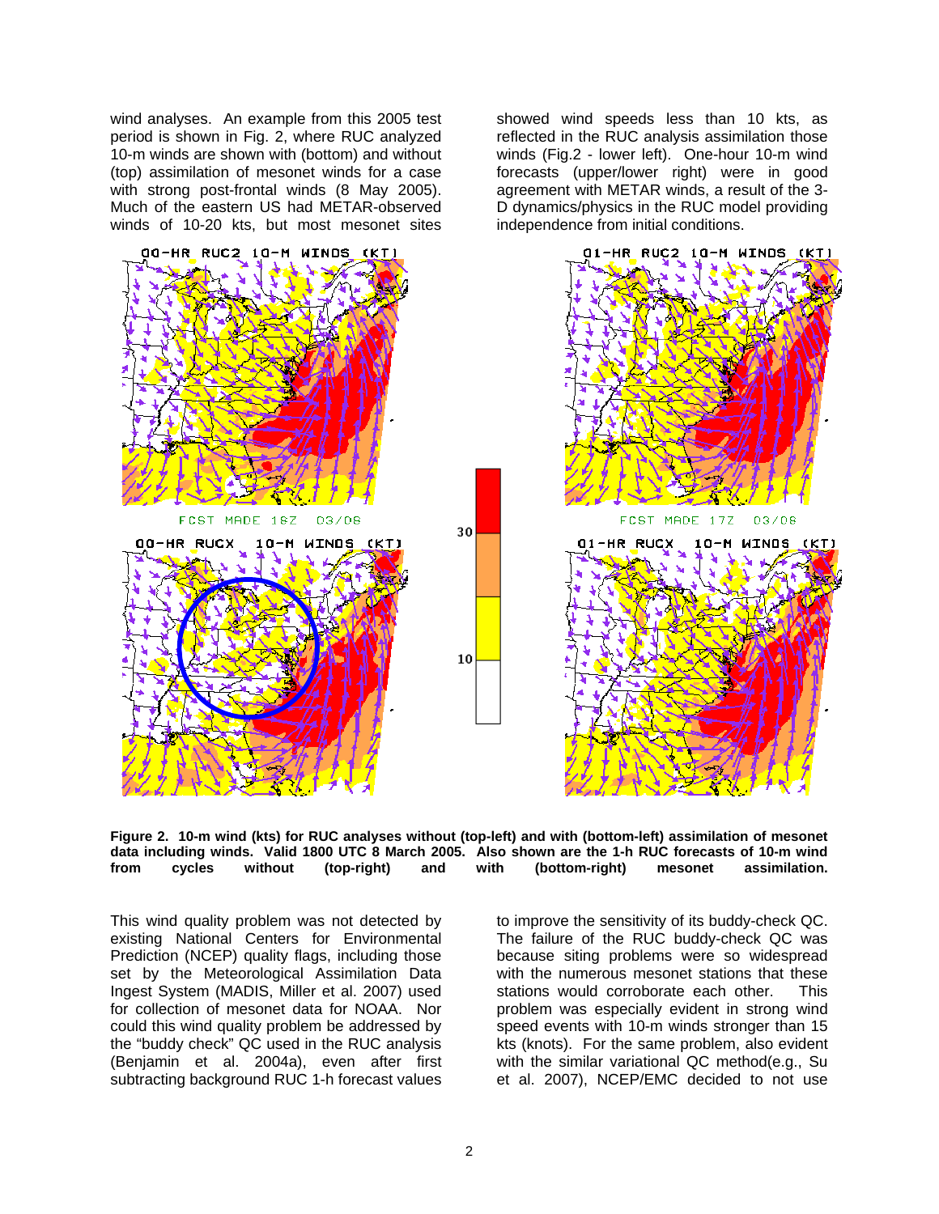wind analyses. An example from this 2005 test period is shown in Fig. 2, where RUC analyzed 10-m winds are shown with (bottom) and without (top) assimilation of mesonet winds for a case with strong post-frontal winds (8 May 2005). Much of the eastern US had METAR-observed winds of 10-20 kts, but most mesonet sites

showed wind speeds less than 10 kts, as reflected in the RUC analysis assimilation those winds (Fig.2 - lower left). One-hour 10-m wind forecasts (upper/lower right) were in good agreement with METAR winds, a result of the 3- D dynamics/physics in the RUC model providing independence from initial conditions.





This wind quality problem was not detected by existing National Centers for Environmental Prediction (NCEP) quality flags, including those set by the Meteorological Assimilation Data Ingest System (MADIS, Miller et al. 2007) used for collection of mesonet data for NOAA. Nor could this wind quality problem be addressed by the "buddy check" QC used in the RUC analysis (Benjamin et al. 2004a), even after first subtracting background RUC 1-h forecast values

to improve the sensitivity of its buddy-check QC. The failure of the RUC buddy-check QC was because siting problems were so widespread with the numerous mesonet stations that these stations would corroborate each other. This problem was especially evident in strong wind speed events with 10-m winds stronger than 15 kts (knots). For the same problem, also evident with the similar variational QC method(e.g., Su et al. 2007), NCEP/EMC decided to not use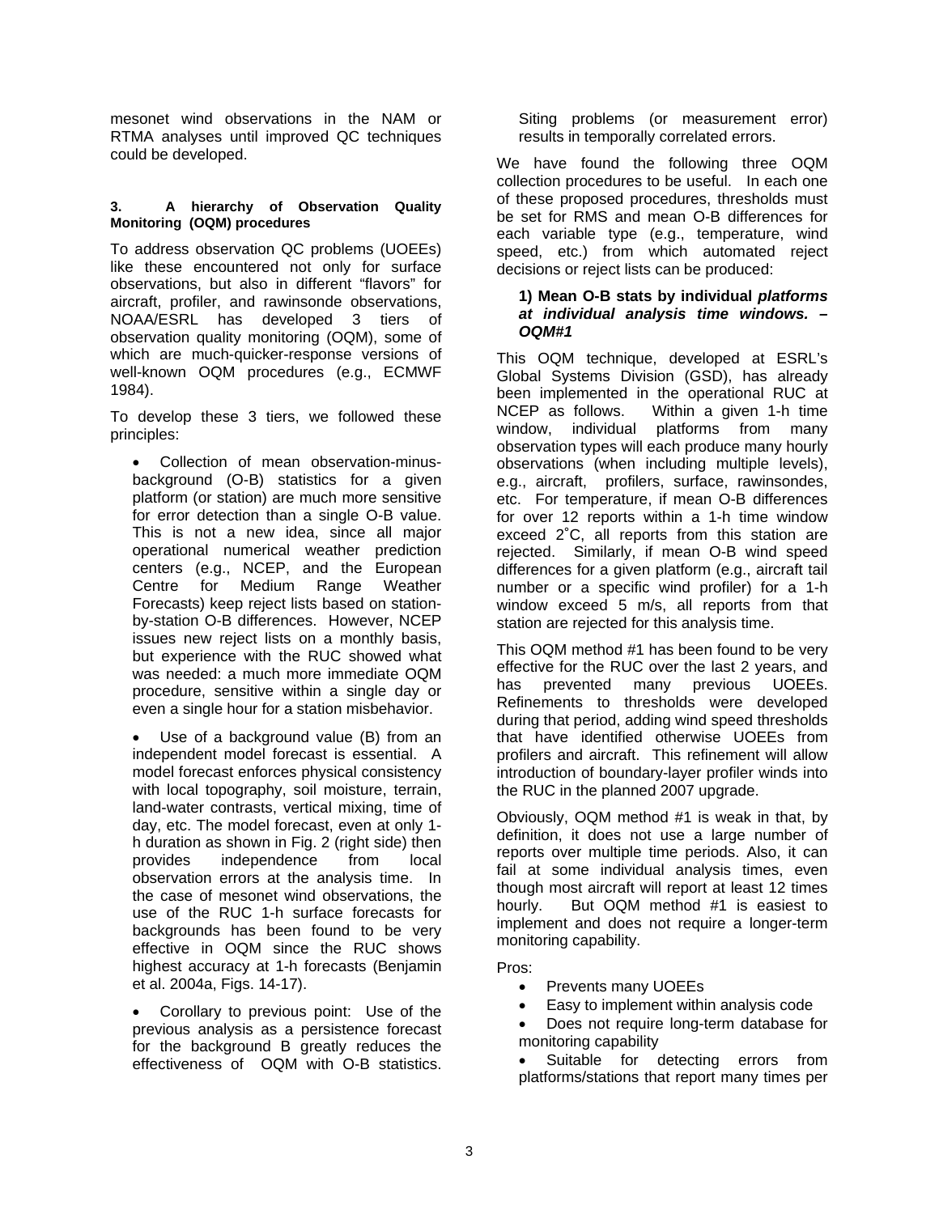mesonet wind observations in the NAM or RTMA analyses until improved QC techniques could be developed.

# **3. A hierarchy of Observation Quality Monitoring (OQM) procedures**

To address observation QC problems (UOEEs) like these encountered not only for surface observations, but also in different "flavors" for aircraft, profiler, and rawinsonde observations, NOAA/ESRL has developed 3 tiers of observation quality monitoring (OQM), some of which are much-quicker-response versions of well-known OQM procedures (e.g., ECMWF 1984).

To develop these 3 tiers, we followed these principles:

• Collection of mean observation-minusbackground (O-B) statistics for a given platform (or station) are much more sensitive for error detection than a single O-B value. This is not a new idea, since all major operational numerical weather prediction centers (e.g., NCEP, and the European Centre for Medium Range Weather Forecasts) keep reject lists based on stationby-station O-B differences. However, NCEP issues new reject lists on a monthly basis, but experience with the RUC showed what was needed: a much more immediate OQM procedure, sensitive within a single day or even a single hour for a station misbehavior.

Use of a background value (B) from an independent model forecast is essential. A model forecast enforces physical consistency with local topography, soil moisture, terrain, land-water contrasts, vertical mixing, time of day, etc. The model forecast, even at only 1 h duration as shown in Fig. 2 (right side) then provides independence from local observation errors at the analysis time. In the case of mesonet wind observations, the use of the RUC 1-h surface forecasts for backgrounds has been found to be very effective in OQM since the RUC shows highest accuracy at 1-h forecasts (Benjamin et al. 2004a, Figs. 14-17).

• Corollary to previous point: Use of the previous analysis as a persistence forecast for the background B greatly reduces the effectiveness of OQM with O-B statistics.

Siting problems (or measurement error) results in temporally correlated errors.

We have found the following three OQM collection procedures to be useful. In each one of these proposed procedures, thresholds must be set for RMS and mean O-B differences for each variable type (e.g., temperature, wind speed, etc.) from which automated reject decisions or reject lists can be produced:

# **1) Mean O-B stats by individual** *platforms at individual analysis time windows. – OQM#1*

This OQM technique, developed at ESRL's Global Systems Division (GSD), has already been implemented in the operational RUC at NCEP as follows. Within a given 1-h time window, individual platforms from many observation types will each produce many hourly observations (when including multiple levels), e.g., aircraft, profilers, surface, rawinsondes, etc. For temperature, if mean O-B differences for over 12 reports within a 1-h time window exceed 2˚C, all reports from this station are rejected. Similarly, if mean O-B wind speed differences for a given platform (e.g., aircraft tail number or a specific wind profiler) for a 1-h window exceed 5 m/s, all reports from that station are rejected for this analysis time.

This OQM method #1 has been found to be very effective for the RUC over the last 2 years, and has prevented many previous UOEEs. Refinements to thresholds were developed during that period, adding wind speed thresholds that have identified otherwise UOEEs from profilers and aircraft. This refinement will allow introduction of boundary-layer profiler winds into the RUC in the planned 2007 upgrade.

Obviously, OQM method #1 is weak in that, by definition, it does not use a large number of reports over multiple time periods. Also, it can fail at some individual analysis times, even though most aircraft will report at least 12 times hourly. But OQM method #1 is easiest to implement and does not require a longer-term monitoring capability.

Pros:

- Prevents many UOEEs
- Easy to implement within analysis code
- Does not require long-term database for monitoring capability
- Suitable for detecting errors from platforms/stations that report many times per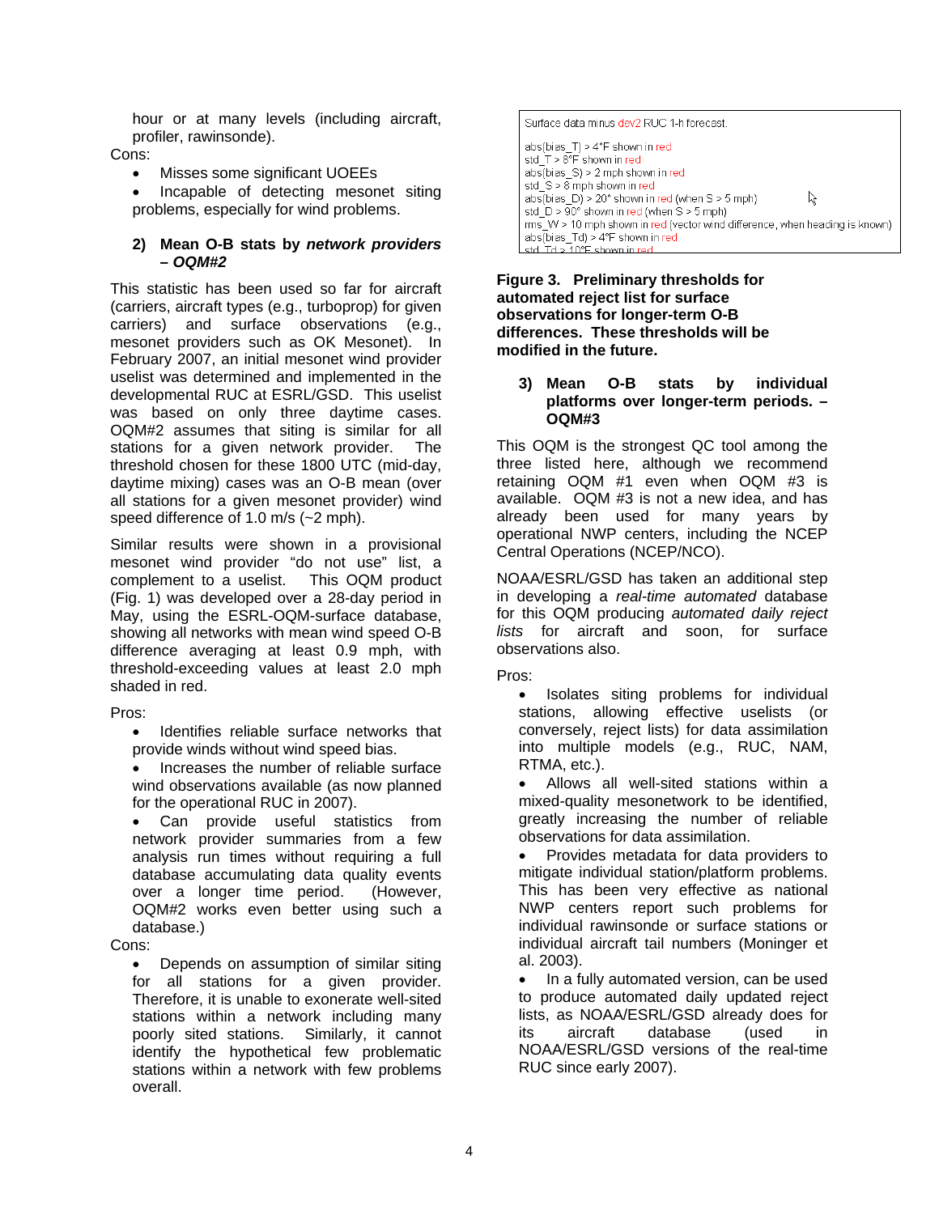hour or at many levels (including aircraft, profiler, rawinsonde).

# Cons:

- Misses some significant UOEEs
- Incapable of detecting mesonet siting problems, especially for wind problems.

# **2) Mean O-B stats by** *network providers – OQM#2*

This statistic has been used so far for aircraft (carriers, aircraft types (e.g., turboprop) for given carriers) and surface observations (e.g., mesonet providers such as OK Mesonet). In February 2007, an initial mesonet wind provider uselist was determined and implemented in the developmental RUC at ESRL/GSD. This uselist was based on only three daytime cases. OQM#2 assumes that siting is similar for all stations for a given network provider. The threshold chosen for these 1800 UTC (mid-day, daytime mixing) cases was an O-B mean (over all stations for a given mesonet provider) wind speed difference of 1.0 m/s (~2 mph).

Similar results were shown in a provisional mesonet wind provider "do not use" list, a complement to a uselist. This OQM product (Fig. 1) was developed over a 28-day period in May, using the ESRL-OQM-surface database, showing all networks with mean wind speed O-B difference averaging at least 0.9 mph, with threshold-exceeding values at least 2.0 mph shaded in red.

# Pros:

- Identifies reliable surface networks that provide winds without wind speed bias.
- Increases the number of reliable surface wind observations available (as now planned for the operational RUC in 2007).

• Can provide useful statistics from network provider summaries from a few analysis run times without requiring a full database accumulating data quality events over a longer time period. (However, OQM#2 works even better using such a database.)

# Cons:

• Depends on assumption of similar siting for all stations for a given provider. Therefore, it is unable to exonerate well-sited stations within a network including many poorly sited stations. Similarly, it cannot identify the hypothetical few problematic stations within a network with few problems overall.

Surface data minus dev2 RUC 1-h forecast. abs(bias\_T) > 4°F shown in red std  $T > 8$ <sup>°</sup>F shown in red  $abs(bias S) > 2$  mph shown in red std\_S > 8 mph shown in red  $abs(bias_D) > 20^{\circ}$  shown in red (when S > 5 mph) ド std  $D > 90^{\circ}$  shown in red (when  $S > 5$  mph)  $\overline{rms}$  W > 10 mph shown in red (vector wind difference, when heading is known) abs(bias\_Td) > 4°F shown in red std. Td > 10°F shown in

**Figure 3. Preliminary thresholds for automated reject list for surface observations for longer-term O-B differences. These thresholds will be modified in the future.** 

# **3) Mean O-B stats by individual platforms over longer-term periods. – OQM#3**

This OQM is the strongest QC tool among the three listed here, although we recommend retaining OQM #1 even when OQM #3 is available. OQM #3 is not a new idea, and has already been used for many years by operational NWP centers, including the NCEP Central Operations (NCEP/NCO).

NOAA/ESRL/GSD has taken an additional step in developing a *real-time automated* database for this OQM producing *automated daily reject lists* for aircraft and soon, for surface observations also.

Pros:

• Isolates siting problems for individual stations, allowing effective uselists (or conversely, reject lists) for data assimilation into multiple models (e.g., RUC, NAM, RTMA, etc.).

• Allows all well-sited stations within a mixed-quality mesonetwork to be identified, greatly increasing the number of reliable observations for data assimilation.

• Provides metadata for data providers to mitigate individual station/platform problems. This has been very effective as national NWP centers report such problems for individual rawinsonde or surface stations or individual aircraft tail numbers (Moninger et al. 2003).

• In a fully automated version, can be used to produce automated daily updated reject lists, as NOAA/ESRL/GSD already does for its aircraft database (used in NOAA/ESRL/GSD versions of the real-time RUC since early 2007).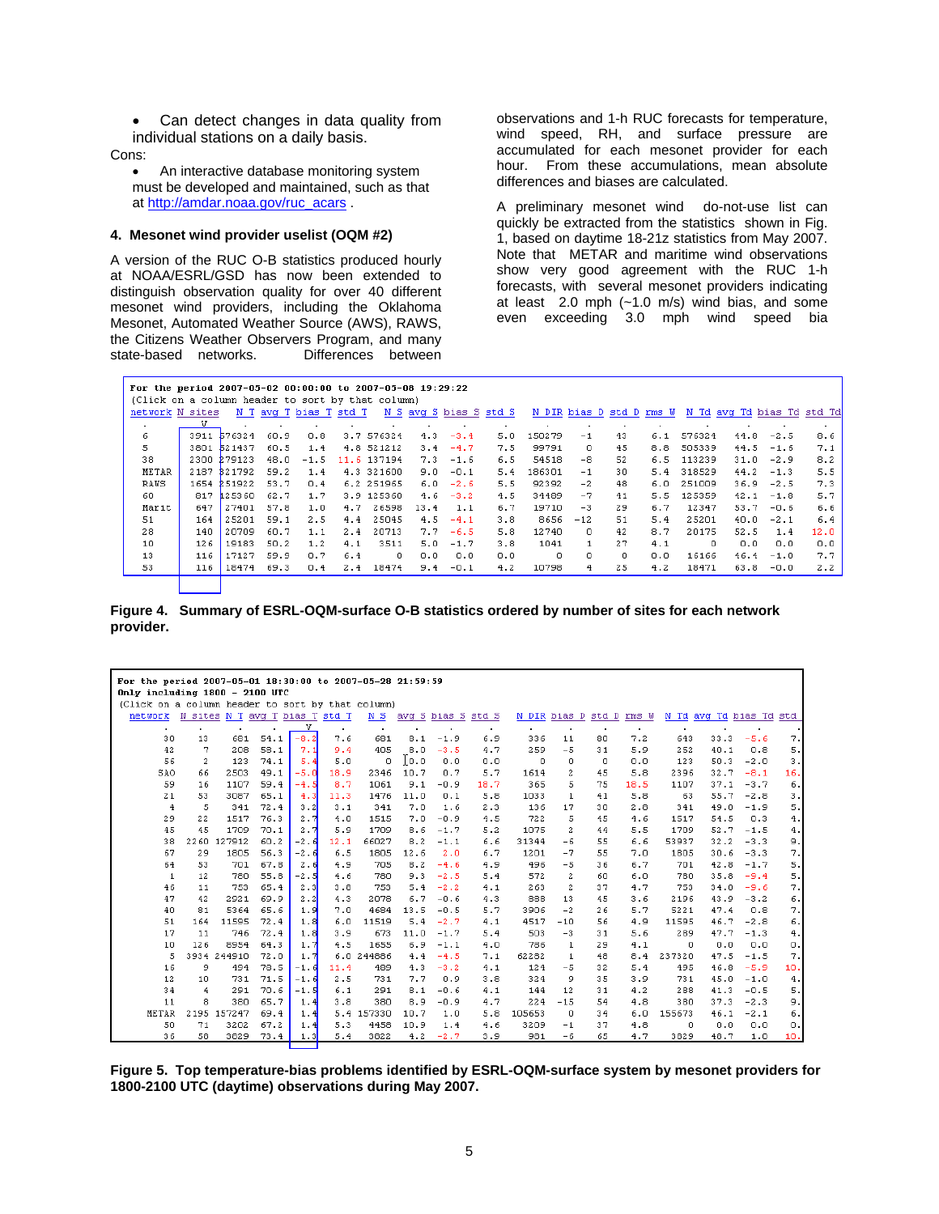• Can detect changes in data quality from individual stations on a daily basis.

Cons:

• An interactive database monitoring system must be developed and maintained, such as that at http://amdar.noaa.gov/ruc\_acars .

#### **4. Mesonet wind provider uselist (OQM #2)**

A version of the RUC O-B statistics produced hourly at NOAA/ESRL/GSD has now been extended to distinguish observation quality for over 40 different mesonet wind providers, including the Oklahoma Mesonet, Automated Weather Source (AWS), RAWS, the Citizens Weather Observers Program, and many<br>state-based networks. Differences between state-based networks.

observations and 1-h RUC forecasts for temperature, wind speed, RH, and surface pressure are accumulated for each mesonet provider for each hour. From these accumulations, mean absolute differences and biases are calculated.

A preliminary mesonet wind do-not-use list can quickly be extracted from the statistics shown in Fig. 1, based on daytime 18-21z statistics from May 2007. Note that METAR and maritime wind observations show very good agreement with the RUC 1-h forecasts, with several mesonet providers indicating at least 2.0 mph (~1.0 m/s) wind bias, and some even exceeding 3.0 mph wind speed bia

| For the period 2007-05-02 00:00:00 to 2007-05-08 19:29:22 |      |             |      |                        |     |             |      |        |                        |          |                          |    |     |            |                            |        |      |
|-----------------------------------------------------------|------|-------------|------|------------------------|-----|-------------|------|--------|------------------------|----------|--------------------------|----|-----|------------|----------------------------|--------|------|
| (Click on a column header to sort by that column)         |      |             |      |                        |     |             |      |        |                        |          |                          |    |     |            |                            |        |      |
| network N sites                                           |      |             |      | N T avg T bias T std T |     |             |      |        | N S avg S bias S std S |          | N DIR bias D std D rms W |    |     |            | N Td avg Td bias Td std Td |        |      |
| $\cdot$                                                   |      |             |      |                        |     |             |      |        |                        |          |                          | ٠  |     |            |                            |        |      |
| 6.                                                        |      | 3911 576324 | 60.9 | 0.8                    |     | 3.7 576324  | 4.3  | $-3.4$ | 5.0                    | 150279   | $-1$                     | 43 | 6.1 | 576324     | 44.8                       | $-2.5$ | 8.6  |
| 5.                                                        |      | 3801 521437 | 60.5 | 1.4                    |     | 4.8 521212  | 3.4  | $-4.7$ | 7.5                    | 99791    | 0                        | 45 | 8.8 | 505339     | 44.5                       | $-1.6$ | 7.1  |
| 38                                                        |      | 2300 279123 | 48.0 | $-1.5$                 |     | 11.6 137194 | 7.3  | $-1.6$ | 6.5                    | 54518    | $-8$                     | 52 | 6.5 | 113239     | 31.0                       | $-2.9$ | 8.2  |
| METAR                                                     |      | 2187 321792 | 59.2 | 1.4                    |     | 4.3 321600  | 9.0  | $-0.1$ | 5.4                    | 186301   | $-1$                     | 30 |     | 5.4 318529 | 44.2                       | $-1.3$ | 5.5  |
| RAWS                                                      |      | 1654 251922 | 53.7 | 0.4                    |     | 6.2 251965  | 6.0  | $-2.6$ | 5.5                    | 92392    | $-2$                     | 48 | 6.0 | 251009     | 36.9                       | $-2.5$ | 7.3  |
| 60                                                        | 817. | 125360      | 62.7 | 1.7                    |     | 3.9 125360  | 4.6  | $-3.2$ | 4.5                    | 34489    | $-7$                     | 41 | 5.5 | 125359     | 42.1                       | $-1.8$ | 5.7  |
| Marit                                                     | 647  | 27401       | 57.8 | 1.0                    | 4.7 | 26598       | 13.4 | 1.1    | 6.7                    | 19710    | $-3$                     | 29 | 6.7 | 12347      | 53.7                       | $-0.6$ | 6.6  |
| 51                                                        | 164  | 25201       | 59.1 | 2.5                    | 4.4 | 25045       | 4.5  | $-4.1$ | 3.8                    | 8656     | $-12$                    | 51 | 5.4 | 25201      | 40.0                       | $-2.1$ | 6.4  |
| 28                                                        | 140  | 20709       | 60.7 | 1.1                    | 2.4 | 20713       | 7.7  | $-6.5$ | 5.8                    | 12740    | $\Omega$                 | 42 | 8.7 | 20175      | 52.5                       | 1.4    | 12.0 |
| 10                                                        | 126  | 19183       | 50.2 | 1.2                    | 4.1 | 3511        | 5.0  | $-1.7$ | 3.8                    | 1041     | $\mathbf{1}$             | 27 | 4.1 | $\circ$    | 0.0                        | 0.0    | 0.0  |
| 13                                                        | 116  | 17127       | 59.9 | 0.7                    | 6.4 | Ю.          | 0.0  | 0.0    | 0.0                    | $\Omega$ | $\Omega$                 | Ω. | 0.0 | 16166      | 46.4                       | $-1.0$ | 7.7  |
| 53                                                        | 116  | 18474       | 69.3 | 0.4                    | 2.4 | 18474       | 9.4  | $-0.1$ | 4.2                    | 10798    | 4                        | 25 | 4.2 | 18471      | 63.8                       | $-0.0$ | 2.2  |

**Figure 4. Summary of ESRL-OQM-surface O-B statistics ordered by number of sites for each network provider.** 

| For the period 2007-05-01 18:30:00 to 2007-05-28 21:59:59                           |      |             |                                |        |           |            |      |                    |              |                |                |        |                          |          |                         |        |                |
|-------------------------------------------------------------------------------------|------|-------------|--------------------------------|--------|-----------|------------|------|--------------------|--------------|----------------|----------------|--------|--------------------------|----------|-------------------------|--------|----------------|
| Only including 1800 - 2100 UTC<br>(Click on a column header to sort by that column) |      |             |                                |        |           |            |      |                    |              |                |                |        |                          |          |                         |        |                |
|                                                                                     |      |             |                                |        |           |            |      |                    |              |                |                |        |                          |          |                         |        |                |
| network                                                                             |      |             | N sites N T avg T bias T std T |        |           | N S        |      | avg S bias S std S |              |                |                |        | N DIR bias D std D rms W |          | N Td avg Td bias Td std |        |                |
|                                                                                     | ٠    |             |                                | v      | $\bullet$ | $\cdot$    |      |                    | $\mathbf{r}$ | $\blacksquare$ | $\blacksquare$ |        | $\bullet$                | ٠        |                         |        |                |
| 30                                                                                  | 13   | 681         | 54.1                           | $-8.2$ | 7.6       | 681        | 8.1  | $-1.9$             | 6.9          | 336            | 11             | 80     | 7.2                      | 643      | 33.3                    | $-5.6$ | 7.             |
| 42                                                                                  | 7    | 208         | 58.1                           | 7.1    | 9.4       | 405        | 8.0  | $-3.5$             | 4.7          | 259            | $-5$           | 31     | 5.9                      | 252      | 40.1                    | 0.8    | 5.             |
| 56                                                                                  | 2    | 123         | 74.1                           | 5.4    | 5.0       | $\Omega$   | 0.0  | 0.0                | 0.0          | $\Omega$       | $\Omega$       | $\Box$ | 0.0                      | 123      | 50.3                    | $-2.0$ | 3.             |
| SAO                                                                                 | 66   | 2503        | 49.1                           | $-5.0$ | 18.9      | 2346       | 10.7 | 0.7                | 5.7          | 1614           | $\mathbf{2}$   | 45     | 5.8                      | 2396     | 32.7                    | $-8.1$ | 16.            |
| 59                                                                                  | 16   | 1107        | 59.4                           | $-4.5$ | 8.7       | 1061       | 9.1  | $-0.9$             | 18.7         | 365            | 5.             | 75     | 18.5                     | 1107     | 37.1                    | $-3.7$ | 6.             |
| 21                                                                                  | 53   | 3087        | 65.1                           | 4.3    | 11.3      | 1476       | 11.0 | 0.1                | 5.8          | 1033           | $\mathbf{1}$   | 41     | 5.8                      | 63       | 55.7                    | $-2.8$ | з.             |
| 4                                                                                   | 5    | 341         | 72.4                           | 3.2    | 3.1       | 341        | 7.0  | 1.6                | 2.3          | 136            | 17             | 30     | 2.8                      | 341      | 49.0                    | $-1.9$ | 5.             |
| 29                                                                                  | 22   | 1517        | 76.3                           | 2.7    | 4.0       | 1515       | 7.0  | $-0.9$             | 4.5          | 722            | 5              | 45     | 4.6                      | 1517     | 54.5                    | 0.3    | $\overline{4}$ |
| 45                                                                                  | 45   | 1709        | 70.1                           | 2.7    | 5.9       | 1709       | 8.6  | $-1.7$             | 5.2          | 1075           | $\mathbf{2}$   | 44     | 5.5                      | 1709     | 52.7                    | $-1.5$ | 4.             |
| 38                                                                                  | 2260 | 127912      | 60.2                           | $-2.6$ | 12.1      | 66027      | 8.2  | $-1.1$             | 6.6          | 31344          | $-6$           | 55     | 6.6                      | 53937    | 32.2                    | $-3.3$ | 9.             |
| 67                                                                                  | 29   | 1805        | 56.3                           | $-2.6$ | 6.5       | 1805       | 12.6 | 2.0                | 6.7          | 1201           | $-7$           | 55     | 7.0                      | 1805     | 30.6                    | $-3.3$ | 7.             |
| 64                                                                                  | 53   | 701         | 67.8                           | 2.6    | 4.9       | 705        | 8.2  | $-4.6$             | 4.9          | 496            | $-5$           | 36     | 6.7                      | 701      | 42.8                    | $-1.7$ | 5.             |
| $\mathbf{1}$                                                                        | 12   | 780         | 55.8                           | $-2.5$ | 4.6       | 780        | 9.3  | $-2.5$             | 5.4          | 572            | $\overline{2}$ | 60     | 6.0                      | 780      | 35.8                    | $-9.4$ | 5.             |
| 46                                                                                  | 11   | 753         | 65.4                           | 2.3    | 3.8       | 753        | 5.4  | $-2.2$             | 4.1          | 263            | $\mathbf{2}$   | 37     | 4.7                      | 753      | 34.0                    | $-9.6$ | 7.             |
| 47                                                                                  | 42   | 2921        | 69.9                           | 2.2    | 4.3       | 2078       | 6.7  | $-0.6$             | 4.3          | 888            | 13             | 45     | 3.6                      | 2196     | 43.9                    | $-3.2$ | 6.             |
| 40                                                                                  | 81   | 5364        | 65.6                           | 1.9    | 7.0       | 4684       | 13.5 | $-0.5$             | 5.7          | 3906           | $-2$           | 26     | 5.7                      | 5221     | 47.4                    | 0.8    | 7.             |
| 51                                                                                  | 164  | 11595       | 72.4                           | 1.8    | 6.0       | 11519      | 5.4  | $-2.7$             | 4.1          | 4517           | $-10$          | 56     | 4.9                      | 11595    | 46.7                    | $-2.8$ | б.             |
| 17                                                                                  | 11   | 746         | 72.4                           | 1.8    | 3.9       | 673        | 11.0 | $-1.7$             | 5.4          | 503            | $-3$           | 31     | 5.6                      | 289      | 47.7                    | $-1.3$ | 4.             |
| 10                                                                                  | 126  | 8954        | 64.3                           | 1.7    | 4.5       | 1655       | 6.9  | $-1.1$             | 4.0          | 786            | $\mathbf{1}$   | 29     | 4.1                      | $\Omega$ | 0.0                     | 0.0    | О.             |
| 5                                                                                   |      | 3934 244910 | 72.0                           | 1.7    |           | 6.0 244886 | 4.4  | $-4.5$             | 7.1          | 62282          | $\mathbf{1}$   | 48     | 8.4                      | 237320   | 47.5                    | $-1.5$ | 7.             |
| 16                                                                                  | 9    | 494         | 78.5                           | $-1.6$ | 11.4      | 489        | 4.3  | $-3.2$             | 4.1          | 124            | $-5$           | 32     | 5.4                      | 495      | 46.8                    | $-5.9$ | 10.            |
| 12                                                                                  | 10   | 731         | 71.5                           | $-1.6$ | 2.5       | 731        | 7.7  | 0.9                | 3.8          | 324            | 9              | 35     | 3.9                      | 731      | 45.0                    | $-1.0$ | 4.             |
| 34                                                                                  | 4    | 291         | 70.6                           | $-1.5$ | 6.1       | 291        | 8.1  | $-0.6$             | 4.1          | 144            | 12             | 31     | 4.2                      | 288      | 41.3                    | $-0.5$ | 5.             |
| 11                                                                                  | 8    | 380         | 65.7                           | 1.4    | 3.8       | 380        | 8.9  | $-0.9$             | 4.7          | 224            | $-15$          | 54     | 4.8                      | 380      | 37.3                    | $-2.3$ | 9.             |
| <b>METAR</b>                                                                        |      | 2195 157247 | 69.4                           | 1.4    |           | 5.4 157330 | 10.7 | 1.0                | 5.8          | 105653         | $\Omega$       | 34     | 6.0                      | 155673   | 46.1                    | $-2.1$ | 6.             |
| 50                                                                                  | 71   | 3202        | 67.2                           | 1.4    | 5.3       | 4458       | 10.9 | 1.4                | 4.6          | 3209           | $-1$           | 37     | 4.8                      | 0        | 0.0                     | 0.0    | о.             |
| 36                                                                                  | 58   | 3829        | 73.4                           | 1.3    | 5.4       | 3822       | 4.2  | $-2.7$             | 3.9          | 981            | $-6$           | 65     | 4.7                      | 3829     | 48.7                    | 1.0    | 10.            |

**Figure 5. Top temperature-bias problems identified by ESRL-OQM-surface system by mesonet providers for 1800-2100 UTC (daytime) observations during May 2007.**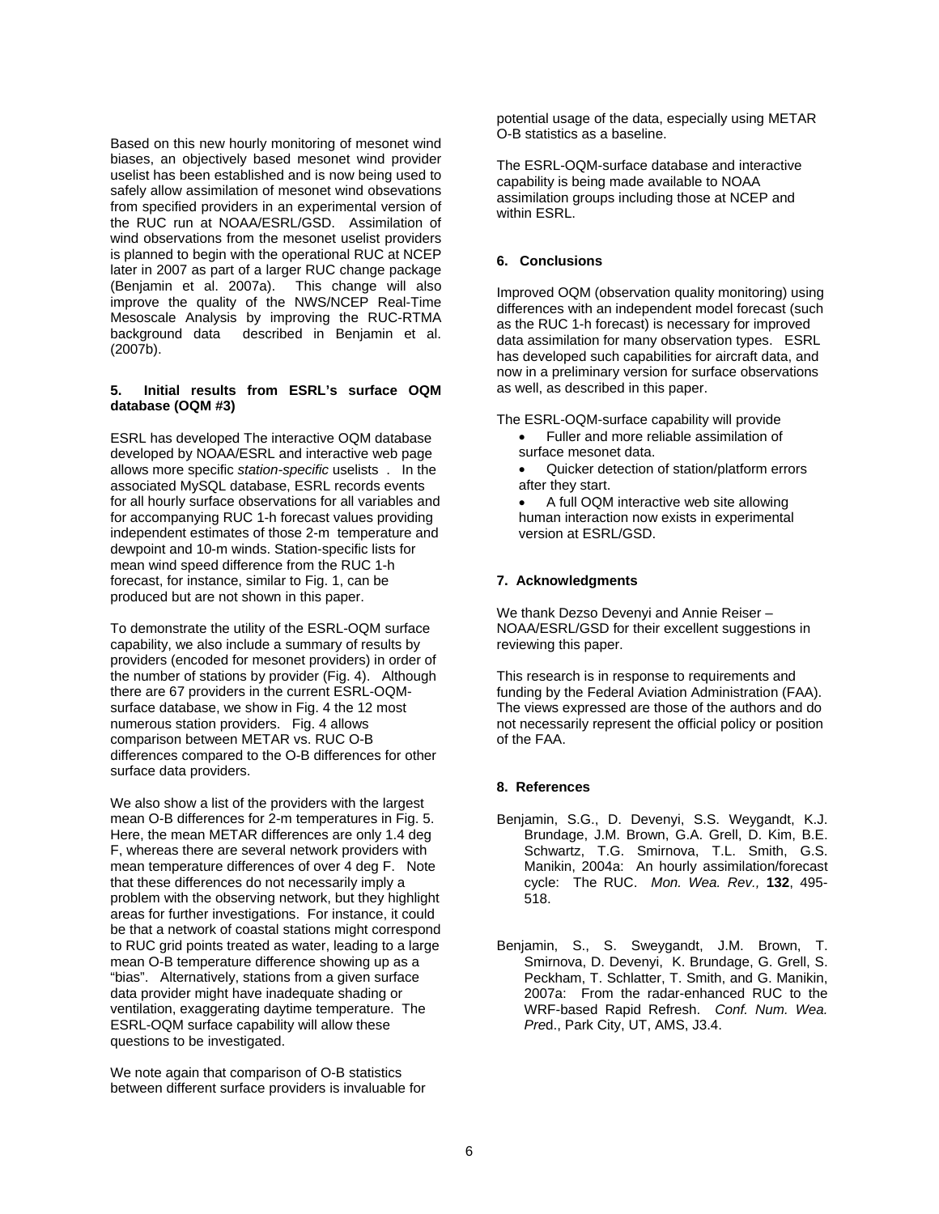Based on this new hourly monitoring of mesonet wind biases, an objectively based mesonet wind provider uselist has been established and is now being used to safely allow assimilation of mesonet wind obsevations from specified providers in an experimental version of the RUC run at NOAA/ESRL/GSD. Assimilation of wind observations from the mesonet uselist providers is planned to begin with the operational RUC at NCEP later in 2007 as part of a larger RUC change package (Benjamin et al. 2007a). This change will also improve the quality of the NWS/NCEP Real-Time Mesoscale Analysis by improving the RUC-RTMA background data described in Benjamin et al. (2007b).

#### **5. Initial results from ESRL's surface OQM database (OQM #3)**

ESRL has developed The interactive OQM database developed by NOAA/ESRL and interactive web page allows more specific *station-specific* uselists . In the associated MySQL database, ESRL records events for all hourly surface observations for all variables and for accompanying RUC 1-h forecast values providing independent estimates of those 2-m temperature and dewpoint and 10-m winds. Station-specific lists for mean wind speed difference from the RUC 1-h forecast, for instance, similar to Fig. 1, can be produced but are not shown in this paper.

To demonstrate the utility of the ESRL-OQM surface capability, we also include a summary of results by providers (encoded for mesonet providers) in order of the number of stations by provider (Fig. 4). Although there are 67 providers in the current ESRL-OQMsurface database, we show in Fig. 4 the 12 most numerous station providers. Fig. 4 allows comparison between METAR vs. RUC O-B differences compared to the O-B differences for other surface data providers.

We also show a list of the providers with the largest mean O-B differences for 2-m temperatures in Fig. 5. Here, the mean METAR differences are only 1.4 deg F, whereas there are several network providers with mean temperature differences of over 4 deg F. Note that these differences do not necessarily imply a problem with the observing network, but they highlight areas for further investigations. For instance, it could be that a network of coastal stations might correspond to RUC grid points treated as water, leading to a large mean O-B temperature difference showing up as a "bias". Alternatively, stations from a given surface data provider might have inadequate shading or ventilation, exaggerating daytime temperature. The ESRL-OQM surface capability will allow these questions to be investigated.

We note again that comparison of O-B statistics between different surface providers is invaluable for potential usage of the data, especially using METAR O-B statistics as a baseline.

The ESRL-OQM-surface database and interactive capability is being made available to NOAA assimilation groups including those at NCEP and within ESRL.

## **6. Conclusions**

Improved OQM (observation quality monitoring) using differences with an independent model forecast (such as the RUC 1-h forecast) is necessary for improved data assimilation for many observation types. ESRL has developed such capabilities for aircraft data, and now in a preliminary version for surface observations as well, as described in this paper.

The ESRL-OQM-surface capability will provide

- Fuller and more reliable assimilation of surface mesonet data.
- Quicker detection of station/platform errors after they start.

• A full OQM interactive web site allowing human interaction now exists in experimental version at ESRL/GSD.

## **7. Acknowledgments**

We thank Dezso Devenyi and Annie Reiser – NOAA/ESRL/GSD for their excellent suggestions in reviewing this paper.

This research is in response to requirements and funding by the Federal Aviation Administration (FAA). The views expressed are those of the authors and do not necessarily represent the official policy or position of the FAA.

## **8. References**

- Benjamin, S.G., D. Devenyi, S.S. Weygandt, K.J. Brundage, J.M. Brown, G.A. Grell, D. Kim, B.E. Schwartz, T.G. Smirnova, T.L. Smith, G.S. Manikin, 2004a: An hourly assimilation/forecast cycle: The RUC. *Mon. Wea. Rev.,* **132**, 495- 518.
- Benjamin, S., S. Sweygandt, J.M. Brown, T. Smirnova, D. Devenyi, K. Brundage, G. Grell, S. Peckham, T. Schlatter, T. Smith, and G. Manikin, 2007a: From the radar-enhanced RUC to the WRF-based Rapid Refresh. *Conf. Num. Wea. Pre*d., Park City, UT, AMS, J3.4.